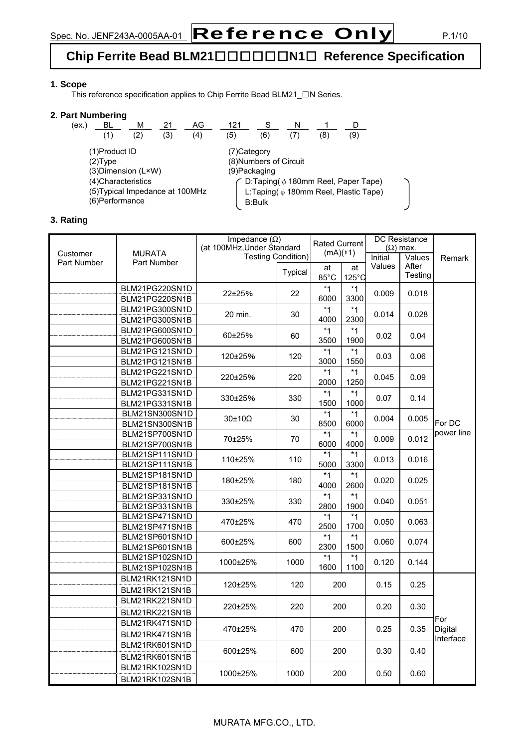### **Chip Ferrite Bead BLM21**□□□□□□**N1**□ **Reference Specification**

#### **1. Scope**

This reference specification applies to Chip Ferrite Bead BLM21\_□N Series.

#### **2. Part Numbering**

| (ex.)                                                                     | BL  | м   |     | AG  | 121         |                        |  |                                                                                                  |     |  |
|---------------------------------------------------------------------------|-----|-----|-----|-----|-------------|------------------------|--|--------------------------------------------------------------------------------------------------|-----|--|
|                                                                           | (1) | (2) | (3) | (4) | (5)         | (6)                    |  | 8                                                                                                | (9) |  |
| (1)Product ID<br>$(2)$ Type                                               |     |     |     |     | (7)Category | (8) Numbers of Circuit |  |                                                                                                  |     |  |
| (3) Dimension (L×W)                                                       |     |     |     |     |             | (9)Packaging           |  |                                                                                                  |     |  |
| (4) Characteristics<br>(5) Typical Impedance at 100MHz<br>(6) Performance |     |     |     |     |             | <b>B:Bulk</b>          |  | $\hat{ }$ D:Taping( $\phi$ 180mm Reel, Paper Tape)<br>L:Taping( $\phi$ 180mm Reel, Plastic Tape) |     |  |

#### **3. Rating**

|                         |                                  | Impedance $(\Omega)$<br>(at 100MHz, Under Standard |         | <b>Rated Current</b> |                 |         | <b>DC Resistance</b><br>$(\Omega)$ max. |            |
|-------------------------|----------------------------------|----------------------------------------------------|---------|----------------------|-----------------|---------|-----------------------------------------|------------|
| Customer<br>Part Number | <b>MURATA</b><br>Part Number     | <b>Testing Condition)</b>                          |         | $(mA)(*1)$           |                 | Initial | Values                                  | Remark     |
|                         |                                  |                                                    | Typical | at                   | at              | Values  | After<br>Testing                        |            |
|                         |                                  |                                                    |         | 85°C                 | $125^{\circ}$ C |         |                                         |            |
|                         | BLM21PG220SN1D                   | 22±25%                                             | 22      | $*1$                 | $*1$            | 0.009   | 0.018                                   |            |
|                         | BLM21PG220SN1B                   |                                                    |         | 6000                 | 3300            |         |                                         |            |
|                         | BLM21PG300SN1D                   | 20 min.                                            | 30      | $*1$                 | $*1$            | 0.014   | 0.028                                   |            |
|                         | BLM21PG300SN1B                   |                                                    |         | 4000                 | 2300            |         |                                         |            |
|                         | BLM21PG600SN1D                   | 60±25%                                             | 60      | $*1$                 | $*1$            | 0.02    | 0.04                                    |            |
|                         | BLM21PG600SN1B                   |                                                    |         | 3500                 | 1900            |         |                                         |            |
|                         | BLM21PG121SN1D                   | 120±25%                                            | 120     | $*1$                 | $*1$            | 0.03    | 0.06                                    |            |
|                         | BLM21PG121SN1B                   |                                                    |         | 3000<br>$*1$         | 1550<br>$*1$    |         |                                         |            |
|                         | BLM21PG221SN1D<br>BLM21PG221SN1B | 220±25%                                            | 220     | 2000                 | 1250            | 0.045   | 0.09                                    |            |
|                         | BLM21PG331SN1D                   |                                                    |         | $*_{1}$              | $*1$            |         |                                         |            |
|                         | BLM21PG331SN1B                   | 330±25%                                            | 330     | 1500                 | 1000            | 0.07    | 0.14                                    |            |
|                         | BLM21SN300SN1D                   |                                                    |         | $*1$                 | $*1$            |         |                                         |            |
|                         | BLM21SN300SN1B                   | $30\pm10\Omega$                                    | 30      | 8500                 | 6000            | 0.004   | 0.005                                   | For DC     |
|                         | BLM21SP700SN1D                   |                                                    |         | $*1$                 | $*1$            |         |                                         | power line |
|                         | BLM21SP700SN1B                   | 70±25%                                             | 70      | 6000                 | 4000            | 0.009   | 0.012                                   |            |
|                         | BLM21SP111SN1D                   |                                                    | 110     | $*1$                 | $*1$            |         |                                         |            |
|                         | BLM21SP111SN1B                   | 110±25%                                            |         | 5000                 | 3300            | 0.013   | 0.016                                   |            |
|                         | BLM21SP181SN1D                   | 180±25%                                            | 180     | $*1$                 | $*1$            | 0.020   | 0.025                                   |            |
|                         | BLM21SP181SN1B                   |                                                    |         | 4000                 | 2600            |         |                                         |            |
|                         | BLM21SP331SN1D                   | 330±25%                                            | 330     | $*1$                 | $*1$            | 0.040   | 0.051                                   |            |
|                         | BLM21SP331SN1B                   |                                                    |         | 2800                 | 1900            |         |                                         |            |
|                         | BLM21SP471SN1D                   | 470±25%                                            | 470     | *1                   | $*1$            | 0.050   | 0.063                                   |            |
|                         | BLM21SP471SN1B                   |                                                    |         | 2500                 | 1700            |         |                                         |            |
|                         | BLM21SP601SN1D                   | 600±25%                                            | 600     | $*1$                 | $*1$            | 0.060   | 0.074                                   |            |
|                         | BLM21SP601SN1B                   |                                                    |         | 2300                 | 1500            |         |                                         |            |
|                         | BLM21SP102SN1D                   | 1000±25%                                           | 1000    | $*1$<br>1600         | $*1$<br>1100    | 0.120   | 0.144                                   |            |
|                         | BLM21SP102SN1B                   |                                                    |         |                      |                 |         |                                         |            |
|                         | BLM21RK121SN1D                   | 120±25%                                            | 120     | 200                  |                 | 0.15    | 0.25                                    |            |
|                         | BLM21RK121SN1B                   |                                                    |         |                      |                 |         |                                         |            |
|                         | BLM21RK221SN1D                   | 220±25%                                            | 220     | 200                  |                 | 0.20    | 0.30                                    |            |
|                         | BLM21RK221SN1B                   |                                                    |         |                      |                 |         |                                         | For        |
|                         | BLM21RK471SN1D                   | 470±25%                                            | 470     | 200                  |                 | 0.25    | 0.35                                    | Digital    |
|                         | BLM21RK471SN1B                   |                                                    |         |                      |                 |         |                                         | Interface  |
|                         | BLM21RK601SN1D                   | 600±25%                                            | 600     | 200                  |                 | 0.30    | 0.40                                    |            |
|                         | BLM21RK601SN1B                   |                                                    |         |                      |                 |         |                                         |            |
|                         | BLM21RK102SN1D                   | 1000±25%                                           | 1000    | 200                  |                 | 0.50    | 0.60                                    |            |
|                         | BLM21RK102SN1B                   |                                                    |         |                      |                 |         |                                         |            |

#### MURATA MFG.CO., LTD.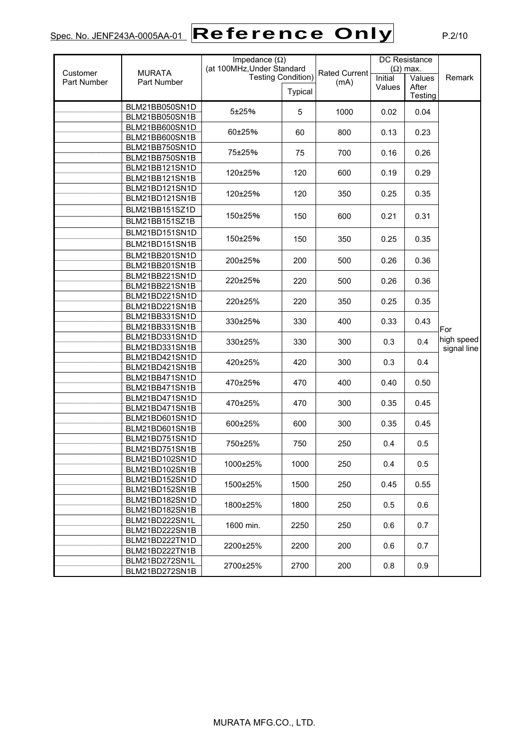# $Spec. No.$  JENF243A-0005AA-01  $\fbox{\sf Reference Only}$  P.2/10

|                    |                                  | Impedance $(\Omega)$       |                           |                      | <b>DC</b> Resistance |                  |             |
|--------------------|----------------------------------|----------------------------|---------------------------|----------------------|----------------------|------------------|-------------|
| Customer           | <b>MURATA</b>                    | (at 100MHz, Under Standard |                           | <b>Rated Current</b> | $(\Omega)$ max.      |                  |             |
| <b>Part Number</b> | Part Number                      |                            | <b>Testing Condition)</b> | (mA)                 | Initial              | Values           | Remark      |
|                    |                                  |                            | Typical                   |                      | Values               | After<br>Testing |             |
|                    | BLM21BB050SN1D                   |                            |                           |                      |                      |                  |             |
|                    | BLM21BB050SN1B                   | 5±25%                      | 5                         | 1000                 | 0.02                 | 0.04             |             |
|                    | BLM21BB600SN1D                   |                            |                           |                      |                      |                  |             |
|                    | BLM21BB600SN1B                   | 60±25%                     | 60                        | 800                  | 0.13                 | 0.23             |             |
|                    | BLM21BB750SN1D                   |                            |                           |                      |                      |                  |             |
|                    | BLM21BB750SN1B                   | 75±25%                     | 75                        | 700                  | 0.16                 | 0.26             |             |
|                    | BLM21BB121SN1D                   | 120±25%                    | 120                       | 600                  | 0.19                 | 0.29             |             |
|                    | BLM21BB121SN1B                   |                            |                           |                      |                      |                  |             |
|                    | BLM21BD121SN1D                   | 120±25%                    | 120                       | 350                  | 0.25                 | 0.35             |             |
|                    | BLM21BD121SN1B                   |                            |                           |                      |                      |                  |             |
|                    | BLM21BB151SZ1D                   |                            |                           |                      |                      |                  |             |
|                    | BLM21BB151SZ1B                   | 150±25%                    | 150                       | 600                  | 0.21                 | 0.31             |             |
|                    | BLM21BD151SN1D                   |                            |                           |                      |                      |                  |             |
|                    | BLM21BD151SN1B                   | 150±25%                    | 150                       | 350                  | 0.25                 | 0.35             |             |
|                    | BLM21BB201SN1D                   | 200±25%                    | 200                       | 500                  | 0.26                 | 0.36             |             |
|                    | BLM21BB201SN1B                   |                            |                           |                      |                      |                  |             |
|                    | BLM21BB221SN1D                   | 220±25%                    | 220                       | 500                  | 0.26                 | 0.36             |             |
|                    | BLM21BB221SN1B                   |                            |                           |                      |                      |                  |             |
|                    | BLM21BD221SN1D                   | 220±25%                    | 220                       | 350                  | 0.25                 | 0.35             |             |
|                    | BLM21BD221SN1B                   |                            |                           |                      |                      |                  |             |
|                    | BLM21BB331SN1D                   | 330±25%                    | 330                       | 400                  | 0.33                 | 0.43             |             |
|                    | BLM21BB331SN1B                   |                            |                           |                      |                      |                  | For         |
|                    | BLM21BD331SN1D                   | 330±25%                    | 330                       | 300                  | 0.3                  | 0.4              | high speed  |
|                    | BLM21BD331SN1B                   |                            |                           |                      |                      |                  | signal line |
|                    | BLM21BD421SN1D<br>BLM21BD421SN1B | 420±25%                    | 420                       | 300                  | 0.3                  | 0.4              |             |
|                    | BLM21BB471SN1D                   |                            |                           |                      |                      |                  |             |
|                    | BLM21BB471SN1B                   | 470±25%                    | 470                       | 400                  | 0.40                 | 0.50             |             |
|                    | BLM21BD471SN1D                   |                            |                           |                      |                      |                  |             |
|                    | BLM21BD471SN1B                   | 470±25%                    | 470                       | 300                  | 0.35                 | 0.45             |             |
|                    | BLM21BD601SN1D                   |                            |                           |                      |                      |                  |             |
|                    | BLM21BD601SN1B                   | 600±25%                    | 600                       | 300                  | 0.35                 | 0.45             |             |
|                    | BLM21BD751SN1D                   |                            |                           |                      |                      |                  |             |
|                    | BLM21BD751SN1B                   | 750±25%                    | 750                       | 250                  | 0.4                  | 0.5              |             |
|                    | BLM21BD102SN1D                   |                            |                           |                      |                      |                  |             |
|                    | BLM21BD102SN1B                   | 1000±25%                   | 1000                      | 250                  | 0.4                  | 0.5              |             |
|                    | BLM21BD152SN1D                   | 1500±25%                   | 1500                      | 250                  |                      | 0.55             |             |
|                    | BLM21BD152SN1B                   |                            |                           |                      | 0.45                 |                  |             |
|                    | BLM21BD182SN1D                   | 1800±25%                   | 1800                      | 250                  | 0.5                  | 0.6              |             |
|                    | BLM21BD182SN1B                   |                            |                           |                      |                      |                  |             |
|                    | BLM21BD222SN1L                   | 1600 min.                  | 2250                      | 250                  | 0.6                  | 0.7              |             |
|                    | BLM21BD222SN1B                   |                            |                           |                      |                      |                  |             |
|                    | BLM21BD222TN1D                   | 2200±25%                   | 2200                      | 200                  | 0.6                  | 0.7              |             |
|                    | BLM21BD222TN1B                   |                            |                           |                      |                      |                  |             |
|                    | BLM21BD272SN1L                   | 2700±25%                   | 2700                      | 200                  | 0.8                  | 0.9              |             |
|                    | BLM21BD272SN1B                   |                            |                           |                      |                      |                  |             |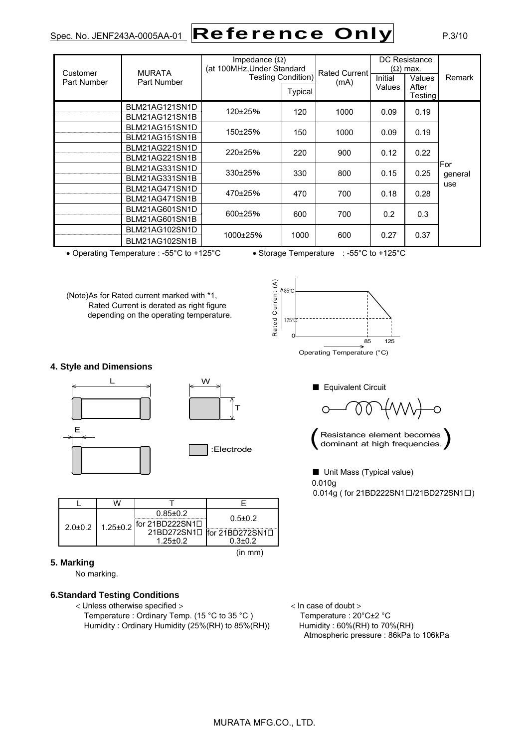# $Spec. No.$  JENF243A-0005AA-01  $\fbox{\sf Reference Only}$  P.3/10

| Customer<br>Part Number | <b>MURATA</b><br>Part Number     | Impedance $(\Omega)$<br>(at 100MHz, Under Standard<br><b>Testing Condition)</b><br>Typical |      | <b>Rated Current</b><br>(mA) | Initial<br>Values | DC Resistance<br>$(Ω)$ max.<br>Values<br>After<br>Testing | Remark         |
|-------------------------|----------------------------------|--------------------------------------------------------------------------------------------|------|------------------------------|-------------------|-----------------------------------------------------------|----------------|
|                         | BLM21AG121SN1D<br>BLM21AG121SN1B | 120±25%                                                                                    | 120  | 1000                         | 0.09              | 0.19                                                      |                |
|                         | BLM21AG151SN1D<br>BLM21AG151SN1B | 150±25%                                                                                    | 150  | 1000                         | 0.09              | 0.19                                                      |                |
|                         | BLM21AG221SN1D<br>BLM21AG221SN1B | 220±25%                                                                                    | 220  | 900                          | 0.12              | 0.22                                                      |                |
|                         | BLM21AG331SN1D<br>BLM21AG331SN1B | 330±25%                                                                                    | 330  | 800                          | 0.15              | 0.25                                                      | For<br>general |
|                         | BLM21AG471SN1D<br>BLM21AG471SN1B | 470±25%                                                                                    | 470  | 700                          | 0.18              | 0.28                                                      | use            |
|                         | BLM21AG601SN1D<br>BLM21AG601SN1B | $600+25%$                                                                                  | 600  | 700                          | 0.2               | 0.3                                                       |                |
|                         | BLM21AG102SN1D<br>BLM21AG102SN1B | 1000±25%                                                                                   | 1000 | 600                          | 0.27              | 0.37                                                      |                |

• Operating Temperature : -55°C to +125°C • Storage Temperature : -55°C to +125°C

(Note)As for Rated current marked with \*1, Rated Current is derated as right figure depending on the operating temperature.



Operating Temperature (°C)

**4. Style and Dimensions** 



|  |                           | $0.85 \pm 0.2$               | $0.5 \pm 0.2$                           |
|--|---------------------------|------------------------------|-----------------------------------------|
|  | $2.0\pm0.2$ 1.25 $\pm0.2$ | $ $ for 21BD222SN1 $\square$ |                                         |
|  |                           |                              | 21BD272SN1 $\Box$ for 21BD272SN1 $\Box$ |
|  |                           | $1.25 + 0.2$                 | $0.3 + 0.2$                             |
|  |                           |                              | (in mm)                                 |

#### **5. Marking**

No marking.

#### **6.Standard Testing Conditions**

< Unless otherwise specified > < In case of doubt > Temperature : Ordinary Temp. (15 °C to 35 °C ) Temperature : 20 °C $\pm$ 2 °C Humidity: Ordinary Humidity (25%(RH) to 85%(RH)) Humidity: 60%(RH) to 70%(RH)



Resistance element becomes<br>dominant at high frequencies.

■ Unit Mass (Typical value) 0.010g 0.014g ( for 21BD222SN1□/21BD272SN1□)

Atmospheric pressure : 86kPa to 106kPa

MURATA MFG.CO., LTD.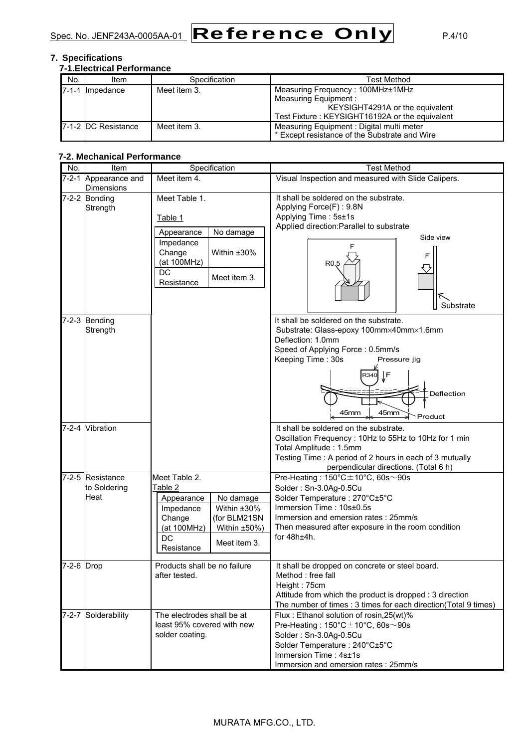

#### **7. Specifications**

| No. | <b>7-1. Electrical Performance</b><br>Item | Specification | <b>Test Method</b>                             |
|-----|--------------------------------------------|---------------|------------------------------------------------|
|     | Impedance                                  | Meet item 3.  | Measuring Frequency: 100MHz±1MHz               |
|     |                                            |               | Measuring Equipment :                          |
|     |                                            |               | KEYSIGHT4291A or the equivalent                |
|     |                                            |               | Test Fixture: KEYSIGHT16192A or the equivalent |
|     | <b>17-1-2 IDC Resistance</b>               | Meet item 3.  | Measuring Equipment: Digital multi meter       |
|     |                                            |               | * Except resistance of the Substrate and Wire  |

#### **7-2. Mechanical Performance**

| No.        | Item                                      | Specification                                                                                                                                                                | <b>Test Method</b>                                                                                                                                                                                                                                             |  |  |
|------------|-------------------------------------------|------------------------------------------------------------------------------------------------------------------------------------------------------------------------------|----------------------------------------------------------------------------------------------------------------------------------------------------------------------------------------------------------------------------------------------------------------|--|--|
|            | 7-2-1 Appearance and<br><b>Dimensions</b> | Meet item 4.                                                                                                                                                                 | Visual Inspection and measured with Slide Calipers.                                                                                                                                                                                                            |  |  |
|            | $7-2-2$ Bonding<br>Strength               | Meet Table 1.<br>Table 1<br>No damage<br>Appearance<br>Impedance<br>Change<br>Within ±30%<br>(at 100MHz)<br>DC<br>Meet item 3.<br>Resistance                                 | It shall be soldered on the substrate.<br>Applying Force(F): 9.8N<br>Applying Time: 5s±1s<br>Applied direction: Parallel to substrate<br>Side view<br>F<br>R <sub>0.5</sub><br>K<br>Substrate                                                                  |  |  |
|            | 7-2-3 Bending<br>Strength                 |                                                                                                                                                                              | It shall be soldered on the substrate.<br>Substrate: Glass-epoxy 100mm×40mm×1.6mm<br>Deflection: 1.0mm<br>Speed of Applying Force: 0.5mm/s<br>Keeping Time: 30s<br>Pressure jig<br>∫F<br>२३४०<br>Deflection<br>45mm<br>45mm<br>Product                         |  |  |
|            | 7-2-4 Vibration                           |                                                                                                                                                                              | It shall be soldered on the substrate.<br>Oscillation Frequency: 10Hz to 55Hz to 10Hz for 1 min<br>Total Amplitude: 1.5mm<br>Testing Time: A period of 2 hours in each of 3 mutually<br>perpendicular directions. (Total 6 h)                                  |  |  |
|            | 7-2-5 Resistance<br>to Soldering<br>Heat  | Meet Table 2.<br>Table 2<br>No damage<br>Appearance<br>Within ±30%<br>Impedance<br>Change<br>(for BLM21SN<br>(at 100MHz)<br>Within ±50%)<br>DC<br>Meet item 3.<br>Resistance | Pre-Heating: $150^{\circ}$ C $\pm$ 10°C, 60s $\sim$ 90s<br>Solder: Sn-3.0Ag-0.5Cu<br>Solder Temperature: 270°C±5°C<br>Immersion Time: 10s±0.5s<br>Immersion and emersion rates: 25mm/s<br>Then measured after exposure in the room condition<br>for $48h±4h$ . |  |  |
| 7-2-6 Drop |                                           | Products shall be no failure<br>after tested.                                                                                                                                | It shall be dropped on concrete or steel board.<br>Method : free fall<br>Height: 75cm<br>Attitude from which the product is dropped : 3 direction<br>The number of times : 3 times for each direction(Total 9 times)                                           |  |  |
|            | 7-2-7 Solderability                       | The electrodes shall be at<br>least 95% covered with new<br>solder coating.                                                                                                  | Flux: Ethanol solution of rosin, 25(wt)%<br>Pre-Heating: $150^{\circ}$ C $\pm$ 10°C, 60s $\sim$ 90s<br>Solder: Sn-3.0Ag-0.5Cu<br>Solder Temperature: 240°C±5°C<br>Immersion Time: 4s±1s<br>Immersion and emersion rates: 25mm/s                                |  |  |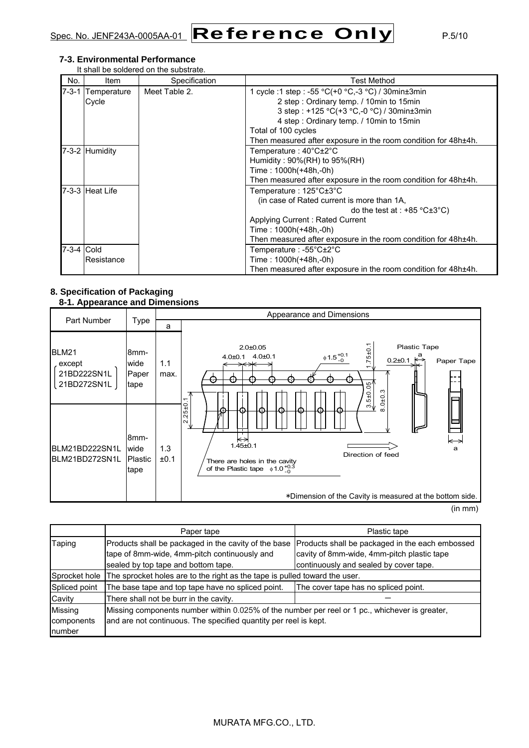$Spec. No.$  JENF243A-0005AA-01  $\fbox{\sf Reference Only}$  P.5/10

#### **7-3. Environmental Performance**

It shall be soldered on the substrate.

| No.         | Item                 | Specification | <b>Test Method</b>                                                                                                                                                                                                                                                                    |
|-------------|----------------------|---------------|---------------------------------------------------------------------------------------------------------------------------------------------------------------------------------------------------------------------------------------------------------------------------------------|
| $7 - 3 - 1$ | Temperature<br>Cycle | Meet Table 2. | 1 cycle :1 step : -55 °C(+0 °C,-3 °C) / 30min $\pm$ 3min<br>2 step: Ordinary temp. / 10min to 15min<br>3 step : +125 °C(+3 °C,-0 °C) / 30min±3min<br>4 step: Ordinary temp. / 10min to 15min<br>Total of 100 cycles<br>Then measured after exposure in the room condition for 48h±4h. |
|             | 7-3-2 Humidity       |               | Temperature : 40°C±2°C<br>Humidity: $90\%(RH)$ to $95\%(RH)$<br>Time: 1000h(+48h,-0h)<br>Then measured after exposure in the room condition for 48h±4h.                                                                                                                               |
|             | 7-3-3 Heat Life      |               | Temperature: 125°C±3°C<br>(in case of Rated current is more than 1A,<br>do the test at : $+85 \degree C \pm 3 \degree C$ )<br>Applying Current: Rated Current<br>Time: 1000h(+48h,-0h)<br>Then measured after exposure in the room condition for 48h±4h.                              |
| 7-3-4 Cold  | Resistance           |               | Temperature : -55°C±2°C<br>Time: 1000h(+48h,-0h)<br>Then measured after exposure in the room condition for 48h±4h.                                                                                                                                                                    |

#### **8. Specification of Packaging 8-1. Appearance and Dimensions**

|                                               |                                            |             | Appearance and Dimensions                                                                                                                                                                                                   |  |  |  |  |
|-----------------------------------------------|--------------------------------------------|-------------|-----------------------------------------------------------------------------------------------------------------------------------------------------------------------------------------------------------------------------|--|--|--|--|
| <b>Part Number</b>                            | Type                                       | a           |                                                                                                                                                                                                                             |  |  |  |  |
| BLM21<br>except<br>21BD222SN1L<br>21BD272SN1L | 8mm-<br>wide<br>Paper<br>tape              | 1.1<br>max. | ٣<br>Plastic Tape<br>$2.0 + 0.05$<br>$75 \pm 0.7$<br>$\phi$ 1.5 $^{+0.1}_{-0}$<br>$0.2\pm0.1$ $\stackrel{a}{\leftrightarrow}$<br>4.0±0.1 4.0±0.1<br>Paper Tape<br>$-510.05$<br>0 ± 0.3<br>↽.                                |  |  |  |  |
| BLM21BD222SN1L<br>BLM21BD272SN1L              | 8 <sub>mm</sub><br>wide<br>Plastic<br>tape | 1.3<br>±0.1 | $2.25 \pm 0.$<br>ຕ√<br>ር፣<br>⇔<br>⇤<br>$1.45 + 0.1$<br>a<br>Direction of feed<br>There are holes in the cavity<br>of the Plastic tape $\phi$ 1.0 $^{+0.3}_{-0}$<br>*Dimension of the Cavity is measured at the bottom side. |  |  |  |  |

(in mm)

|               | Paper tape                                                                                     | Plastic tape                                    |  |  |  |  |
|---------------|------------------------------------------------------------------------------------------------|-------------------------------------------------|--|--|--|--|
| Taping        | Products shall be packaged in the cavity of the base                                           | Products shall be packaged in the each embossed |  |  |  |  |
|               | tape of 8mm-wide, 4mm-pitch continuously and                                                   | cavity of 8mm-wide, 4mm-pitch plastic tape      |  |  |  |  |
|               | sealed by top tape and bottom tape.                                                            | continuously and sealed by cover tape.          |  |  |  |  |
| Sprocket hole | The sprocket holes are to the right as the tape is pulled toward the user.                     |                                                 |  |  |  |  |
| Spliced point | The base tape and top tape have no spliced point.                                              | The cover tape has no spliced point.            |  |  |  |  |
| Cavity        | There shall not be burr in the cavity.                                                         |                                                 |  |  |  |  |
| Missing       | Missing components number within 0.025% of the number per reel or 1 pc., whichever is greater, |                                                 |  |  |  |  |
| components    | and are not continuous. The specified quantity per reel is kept.                               |                                                 |  |  |  |  |
| number        |                                                                                                |                                                 |  |  |  |  |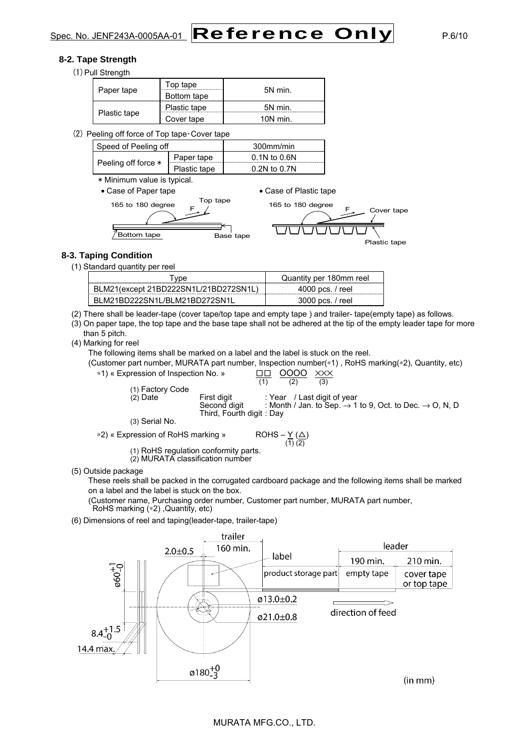#### **8-2. Tape Strength**

(1) Pull Strength

| Paper tape   | Top tape     | 5N min.    |  |
|--------------|--------------|------------|--|
|              | Bottom tape  |            |  |
|              | Plastic tape | 5N min.    |  |
| Plastic tape | Cover tape   | $10N$ min. |  |

 $(2)$  Peeling off force of Top tape $\cdot$  Cover tape

| Speed of Peeling off |              | 300mm/min        |
|----------------------|--------------|------------------|
| Peeling off force *  | Paper tape   | $0.1N$ to $0.6N$ |
|                      | Plastic tape | $0.2N$ to $0.7N$ |
|                      |              |                  |

\* Minimum value is typical.

• Case of Paper tape • Case of Plastic tape



#### **8-3. Taping Condition**

(1) Standard quantity per reel

| vpe                                   | Quantity per 180mm reel |
|---------------------------------------|-------------------------|
| BLM21(except 21BD222SN1L/21BD272SN1L) | 4000 pcs. / reel        |
| BLM21BD222SN1L/BLM21BD272SN1L         | 3000 pcs. / reel        |
|                                       |                         |

(2) There shall be leader-tape (cover tape/top tape and empty tape ) and trailer- tape(empty tape) as follows.

(3) On paper tape, the top tape and the base tape shall not be adhered at the tip of the empty leader tape for more than 5 pitch.

(4) Marking for reel

The following items shall be marked on a label and the label is stuck on the reel.

(Customer part number, MURATA part number, Inspection number(∗1) , RoHS marking(∗2), Quantity, etc)



(1) RoHS regulation conformity parts.

(2) MURATA classification number

(5) Outside package

These reels shall be packed in the corrugated cardboard package and the following items shall be marked on a label and the label is stuck on the box.

(Customer name, Purchasing order number, Customer part number, MURATA part number, RoHS marking (\*2), Quantity, etc)

(6) Dimensions of reel and taping(leader-tape, trailer-tape)

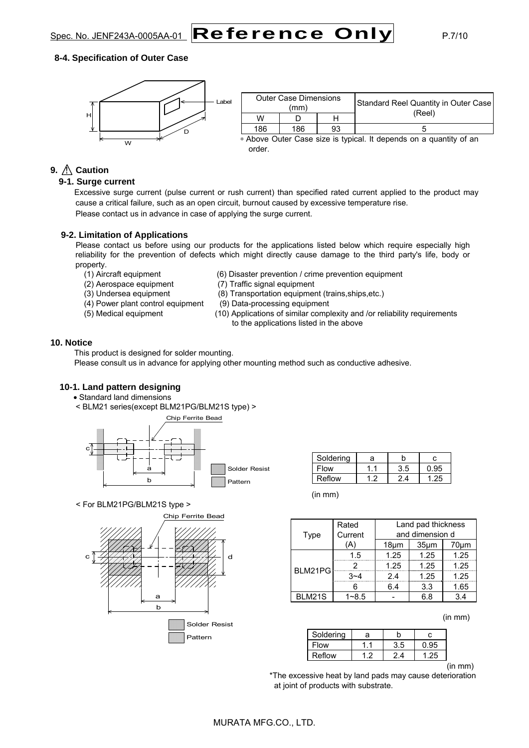

#### **8-4. Specification of Outer Case**



| <b>Outer Case Dimensions</b><br>(mm) |       |    | Standard Reel Quantity in Outer Case |  |
|--------------------------------------|-------|----|--------------------------------------|--|
| w                                    |       |    | (Reel)                               |  |
| 186                                  | 186   | 93 |                                      |  |
|                                      | - - - |    | .                                    |  |

∗ Above Outer Case size is typical. It depends on a quantity of an order.

### **9.**  $\bigwedge$  **Caution**

#### **9-1. Surge current**

Excessive surge current (pulse current or rush current) than specified rated current applied to the product may cause a critical failure, such as an open circuit, burnout caused by excessive temperature rise. Please contact us in advance in case of applying the surge current.

#### **9-2. Limitation of Applications**

Please contact us before using our products for the applications listed below which require especially high reliability for the prevention of defects which might directly cause damage to the third party's life, body or property.

- 
- 
- 
- (4) Power plant control equipment (9) Data-processing equipment
- 
- (1) Aircraft equipment (6) Disaster prevention / crime prevention equipment
- (2) Aerospace equipment (7) Traffic signal equipment
- (3) Undersea equipment (8) Transportation equipment (trains,ships,etc.)
	-
- (5) Medical equipment (10) Applications of similar complexity and /or reliability requirements to the applications listed in the above

#### **10. Notice**

This product is designed for solder mounting.

Please consult us in advance for applying other mounting method such as conductive adhesive.

#### **10-1. Land pattern designing**

- Standard land dimensions
- < BLM21 series(except BLM21PG/BLM21S type) >



Soldering a b c Flow | 1.1 | 3.5 | 0.95 Reflow | 1.2 | 2.4 | 1.25

< For BLM21PG/BLM21S type >



| $\mathsf{In}\ \mathsf{mm}$ |
|----------------------------|
|                            |

| Type          | Rated<br>Current | Land pad thickness<br>and dimension d |                   |      |
|---------------|------------------|---------------------------------------|-------------------|------|
|               | Ά                | $18 \mu m$                            | 35 <sub>µ</sub> m | 70µm |
|               | 1.5              | 1.25                                  | 1.25              | 1.25 |
|               |                  | 1.25                                  | 1.25              | 1.25 |
| BLM21PG       | $3 - 4$          | 2.4                                   | 1.25              | 1.25 |
|               |                  | 6.4                                   | 3.3               | 1.65 |
| <b>BLM21S</b> | $1 - 8.5$        |                                       | 6 8               | 34   |

(in mm)

| Soldering | а |     |  |
|-----------|---|-----|--|
| Flow      |   | 3.5 |  |
| Reflow    |   |     |  |

(in mm)

 \*The excessive heat by land pads may cause deterioration at joint of products with substrate.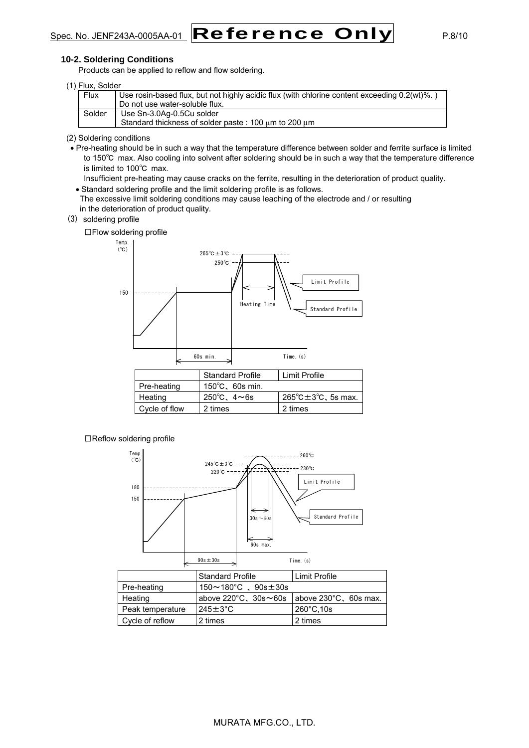# $Spec. No.$  JENF243A-0005AA-01  $\fbox{\sf Reference Only}$  P.8/10

#### **10-2. Soldering Conditions**

Products can be applied to reflow and flow soldering.

| (1) Flux, Solder |  |
|------------------|--|
|------------------|--|

| וטאוטט. טעוו |                                                                                                  |
|--------------|--------------------------------------------------------------------------------------------------|
| Flux         | Use rosin-based flux, but not highly acidic flux (with chlorine content exceeding $0.2(wt)\%$ .) |
|              | Do not use water-soluble flux.                                                                   |
| Solder       | Use Sn-3.0Ag-0.5Cu solder                                                                        |
|              | Standard thickness of solder paste: 100 um to 200 um                                             |

#### (2) Soldering conditions

• Pre-heating should be in such a way that the temperature difference between solder and ferrite surface is limited to 150℃ max. Also cooling into solvent after soldering should be in such a way that the temperature difference is limited to 100℃ max.

Insufficient pre-heating may cause cracks on the ferrite, resulting in the deterioration of product quality.

- Standard soldering profile and the limit soldering profile is as follows.
- The excessive limit soldering conditions may cause leaching of the electrode and / or resulting in the deterioration of product quality.
- (3) soldering profile

□Flow soldering profile



□Reflow soldering profile



|                  | <b>Standard Profile</b>                                               | Limit Profile        |  |
|------------------|-----------------------------------------------------------------------|----------------------|--|
| Pre-heating      | $150 \sim 180^{\circ}$ C. $90s \pm 30s$                               |                      |  |
| Heating          | above $220^{\circ}$ C, $30s \sim 60s$ above $230^{\circ}$ C, 60s max. |                      |  |
| Peak temperature | $245 \pm 3^{\circ}$ C                                                 | $260^{\circ}$ C, 10s |  |
| Cycle of reflow  | 2 times                                                               | 2 times              |  |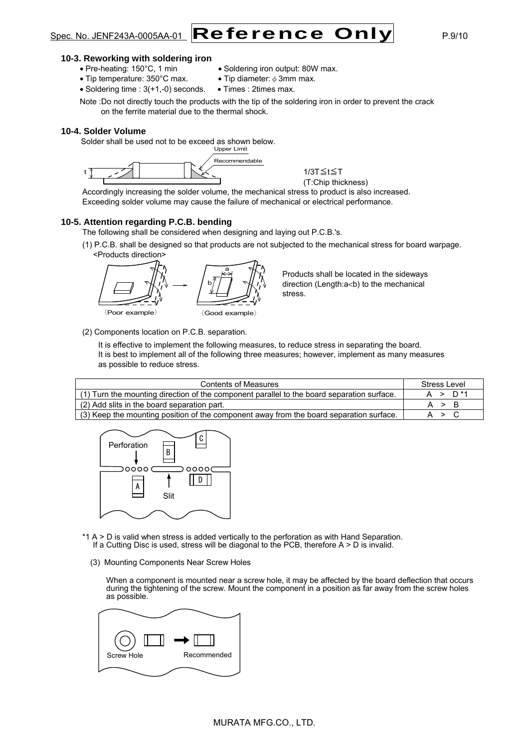

#### **10-3. Reworking with soldering iron**

- Pre-heating: 150°C, 1 min Soldering iron output: 80W max.
	-
- Tip temperature:  $350^{\circ}$ C max. Tip diameter:  $\phi$  3mm max.
- Soldering time :  $3(+1,-0)$  seconds. Times : 2times max.

Note :Do not directly touch the products with the tip of the soldering iron in order to prevent the crack on the ferrite material due to the thermal shock.

#### **10-4. Solder Volume**

Solder shall be used not to be exceed as shown below.



1/3T≦t≦T (T:Chip thickness)

Accordingly increasing the solder volume, the mechanical stress to product is also increased. Exceeding solder volume may cause the failure of mechanical or electrical performance.

#### **10-5. Attention regarding P.C.B. bending**

The following shall be considered when designing and laying out P.C.B.'s.

(1) P.C.B. shall be designed so that products are not subjected to the mechanical stress for board warpage. <Products direction>



Products shall be located in the sideways direction (Length:a<br/>b) to the mechanical stress.

(2) Components location on P.C.B. separation.

It is effective to implement the following measures, to reduce stress in separating the board. It is best to implement all of the following three measures; however, implement as many measures as possible to reduce stress.

| <b>Contents of Measures</b>                                                                | Stress Level |
|--------------------------------------------------------------------------------------------|--------------|
| (1) Turn the mounting direction of the component parallel to the board separation surface. | $A > D^*1$   |
| (2) Add slits in the board separation part.                                                | A > B        |
| (3) Keep the mounting position of the component away from the board separation surface.    | A > C        |



- \*1 A > D is valid when stress is added vertically to the perforation as with Hand Separation. If a Cutting Disc is used, stress will be diagonal to the PCB, therefore  $A > D$  is invalid.
	- (3) Mounting Components Near Screw Holes

When a component is mounted near a screw hole, it may be affected by the board deflection that occurs during the tightening of the screw. Mount the component in a position as far away from the screw holes as possible.

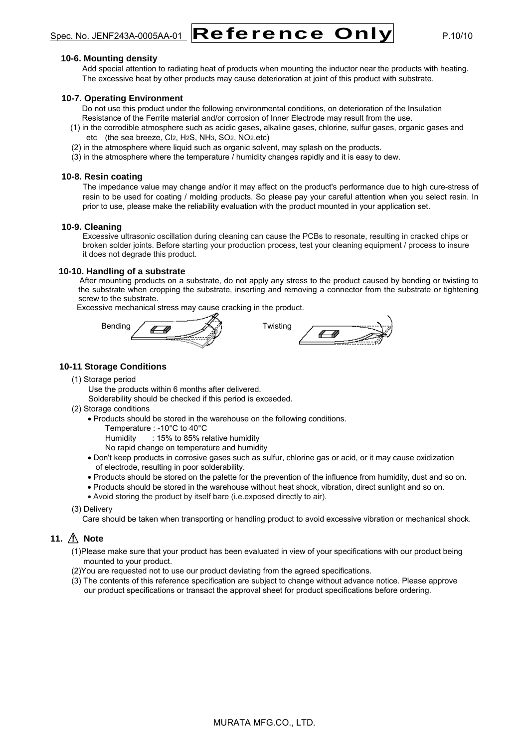$Spec. No.$  JENF243A-0005AA-01  $\fbox{\sf Reference Only}$  P.10/10

#### **10-6. Mounting density**

Add special attention to radiating heat of products when mounting the inductor near the products with heating. The excessive heat by other products may cause deterioration at joint of this product with substrate.

#### **10-7. Operating Environment**

Do not use this product under the following environmental conditions, on deterioration of the Insulation Resistance of the Ferrite material and/or corrosion of Inner Electrode may result from the use.

- (1) in the corrodible atmosphere such as acidic gases, alkaline gases, chlorine, sulfur gases, organic gases and etc (the sea breeze, Cl2, H2S, NH3, SO2, NO2,etc)
- (2) in the atmosphere where liquid such as organic solvent, may splash on the products.
- (3) in the atmosphere where the temperature / humidity changes rapidly and it is easy to dew.

#### **10-8. Resin coating**

The impedance value may change and/or it may affect on the product's performance due to high cure-stress of resin to be used for coating / molding products. So please pay your careful attention when you select resin. In prior to use, please make the reliability evaluation with the product mounted in your application set.

#### **10-9. Cleaning**

Excessive ultrasonic oscillation during cleaning can cause the PCBs to resonate, resulting in cracked chips or broken solder joints. Before starting your production process, test your cleaning equipment / process to insure it does not degrade this product.

#### **10-10. Handling of a substrate**

After mounting products on a substrate, do not apply any stress to the product caused by bending or twisting to the substrate when cropping the substrate, inserting and removing a connector from the substrate or tightening screw to the substrate.

Excessive mechanical stress may cause cracking in the product.





#### **10-11 Storage Conditions**

(1) Storage period

Use the products within 6 months after delivered.

Solderability should be checked if this period is exceeded.

(2) Storage conditions

• Products should be stored in the warehouse on the following conditions.

Temperature : -10°C to 40°C

Humidity : 15% to 85% relative humidity

No rapid change on temperature and humidity

- Don't keep products in corrosive gases such as sulfur, chlorine gas or acid, or it may cause oxidization of electrode, resulting in poor solderability.
- Products should be stored on the palette for the prevention of the influence from humidity, dust and so on.
- Products should be stored in the warehouse without heat shock, vibration, direct sunlight and so on.
- Avoid storing the product by itself bare (i.e.exposed directly to air).
- (3) Delivery

Care should be taken when transporting or handling product to avoid excessive vibration or mechanical shock.

#### **11.** *A* Note

(1)Please make sure that your product has been evaluated in view of your specifications with our product being mounted to your product.

- (2)You are requested not to use our product deviating from the agreed specifications.
- (3) The contents of this reference specification are subject to change without advance notice. Please approve our product specifications or transact the approval sheet for product specifications before ordering.